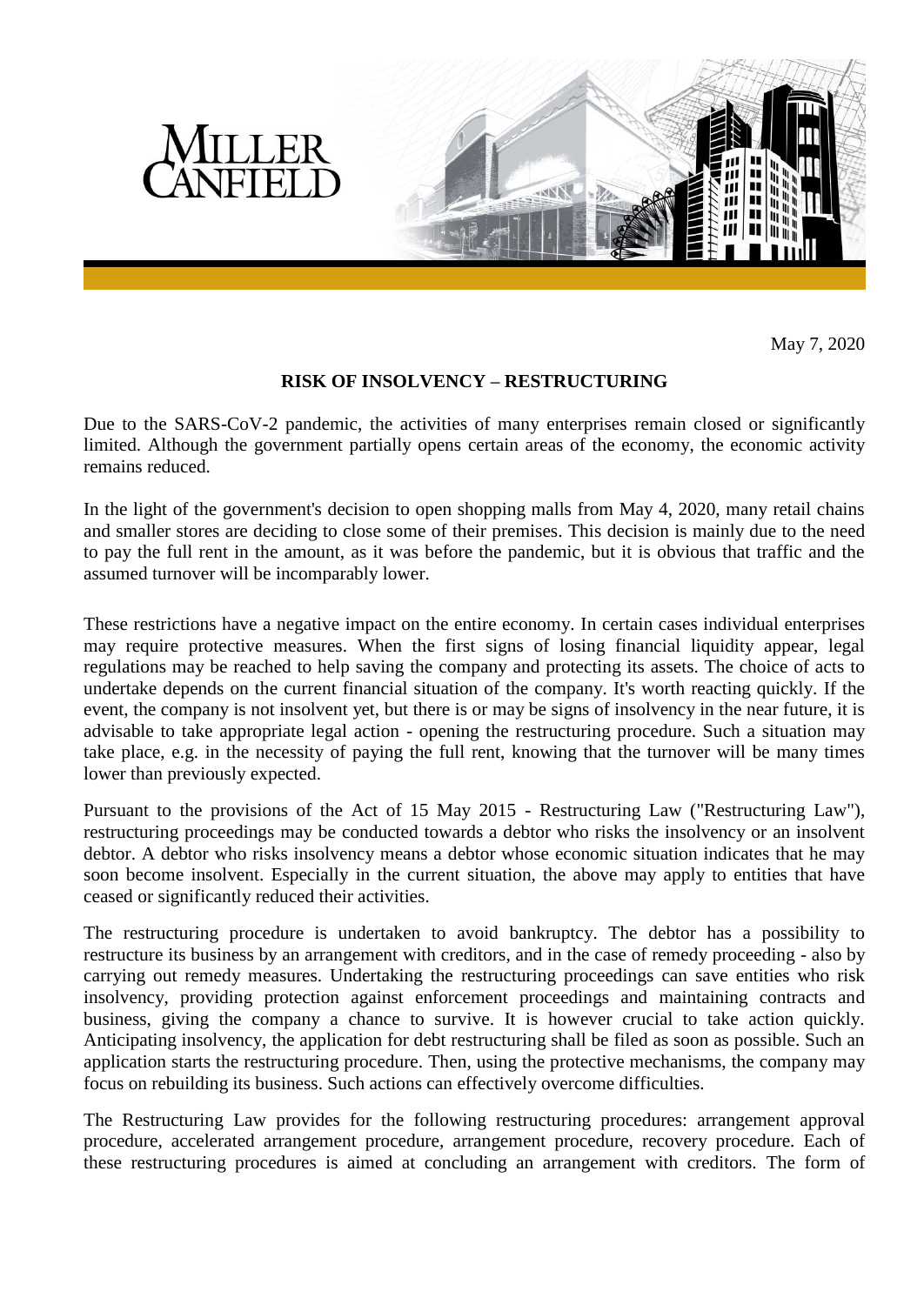

May 7, 2020

## **RISK OF INSOLVENCY – RESTRUCTURING**

Due to the SARS-CoV-2 pandemic, the activities of many enterprises remain closed or significantly limited. Although the government partially opens certain areas of the economy, the economic activity remains reduced.

In the light of the government's decision to open shopping malls from May 4, 2020, many retail chains and smaller stores are deciding to close some of their premises. This decision is mainly due to the need to pay the full rent in the amount, as it was before the pandemic, but it is obvious that traffic and the assumed turnover will be incomparably lower.

These restrictions have a negative impact on the entire economy. In certain cases individual enterprises may require protective measures. When the first signs of losing financial liquidity appear, legal regulations may be reached to help saving the company and protecting its assets. The choice of acts to undertake depends on the current financial situation of the company. It's worth reacting quickly. If the event, the company is not insolvent yet, but there is or may be signs of insolvency in the near future, it is advisable to take appropriate legal action - opening the restructuring procedure. Such a situation may take place, e.g. in the necessity of paying the full rent, knowing that the turnover will be many times lower than previously expected.

Pursuant to the provisions of the Act of 15 May 2015 - Restructuring Law ("Restructuring Law"), restructuring proceedings may be conducted towards a debtor who risks the insolvency or an insolvent debtor. A debtor who risks insolvency means a debtor whose economic situation indicates that he may soon become insolvent. Especially in the current situation, the above may apply to entities that have ceased or significantly reduced their activities.

The restructuring procedure is undertaken to avoid bankruptcy. The debtor has a possibility to restructure its business by an arrangement with creditors, and in the case of remedy proceeding - also by carrying out remedy measures. Undertaking the restructuring proceedings can save entities who risk insolvency, providing protection against enforcement proceedings and maintaining contracts and business, giving the company a chance to survive. It is however crucial to take action quickly. Anticipating insolvency, the application for debt restructuring shall be filed as soon as possible. Such an application starts the restructuring procedure. Then, using the protective mechanisms, the company may focus on rebuilding its business. Such actions can effectively overcome difficulties.

The Restructuring Law provides for the following restructuring procedures: arrangement approval procedure, accelerated arrangement procedure, arrangement procedure, recovery procedure. Each of these restructuring procedures is aimed at concluding an arrangement with creditors. The form of